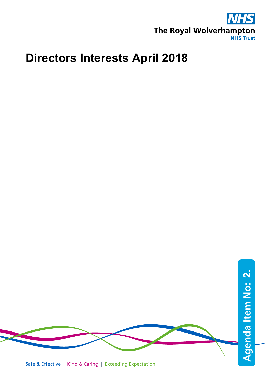

## **Directors Interests April 2018**



Safe & Effective | Kind & Caring | Exceeding Expectation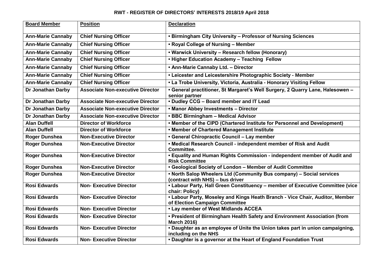## **RWT - REGISTER OF DIRECTORS' INTERESTS 2018/19 April 2018**

| <b>Board Member</b>      | <b>Position</b>                         | <b>Declaration</b>                                                                                             |
|--------------------------|-----------------------------------------|----------------------------------------------------------------------------------------------------------------|
| <b>Ann-Marie Cannaby</b> | <b>Chief Nursing Officer</b>            | • Birmingham City University - Professor of Nursing Sciences                                                   |
| <b>Ann-Marie Cannaby</b> | <b>Chief Nursing Officer</b>            | • Royal College of Nursing - Member                                                                            |
| <b>Ann-Marie Cannaby</b> | <b>Chief Nursing Officer</b>            | . Warwick University - Research fellow (Honorary)                                                              |
| <b>Ann-Marie Cannaby</b> | <b>Chief Nursing Officer</b>            | • Higher Education Academy - Teaching Fellow                                                                   |
| <b>Ann-Marie Cannaby</b> | <b>Chief Nursing Officer</b>            | . Ann-Marie Cannaby Ltd. - Director                                                                            |
| <b>Ann-Marie Cannaby</b> | <b>Chief Nursing Officer</b>            | • Leicester and Leicestershire Photographic Society - Member                                                   |
| <b>Ann-Marie Cannaby</b> | <b>Chief Nursing Officer</b>            | . La Trobe University, Victoria, Australia - Honorary Visiting Fellow                                          |
| <b>Dr Jonathan Darby</b> | <b>Associate Non-executive Director</b> | • General practitioner, St Margaret's Well Surgery, 2 Quarry Lane, Halesowen -<br>senior partner               |
| Dr Jonathan Darby        | <b>Associate Non-executive Director</b> | • Dudley CCG - Board member and IT Lead                                                                        |
| Dr Jonathan Darby        | <b>Associate Non-executive Director</b> | • Manor Abbey Investments - Director                                                                           |
| Dr Jonathan Darby        | <b>Associate Non-executive Director</b> | • BBC Birmingham - Medical Advisor                                                                             |
| <b>Alan Duffell</b>      | <b>Director of Workforce</b>            | . Member of the CIPD (Chartered Institute for Personnel and Development)                                       |
| <b>Alan Duffell</b>      | <b>Director of Workforce</b>            | . Member of Chartered Management Institute                                                                     |
| <b>Roger Dunshea</b>     | <b>Non-Executive Director</b>           | • General Chiropractic Council - Lay member                                                                    |
| <b>Roger Dunshea</b>     | <b>Non-Executive Director</b>           | . Medical Research Council - independent member of Risk and Audit<br>Committee.                                |
| <b>Roger Dunshea</b>     | <b>Non-Executive Director</b>           | • Equality and Human Rights Commission - independent member of Audit and<br><b>Risk Committee</b>              |
| <b>Roger Dunshea</b>     | <b>Non-Executive Director</b>           | • Geological Society of London - Member of Audit Committee                                                     |
| <b>Roger Dunshea</b>     | <b>Non-Executive Director</b>           | . North Salop Wheelers Ltd (Community Bus company) - Social services<br>(contract with NHS) - bus driver       |
| <b>Rosi Edwards</b>      | <b>Non-Executive Director</b>           | . Labour Party, Hall Green Constituency - member of Executive Committee (vice<br>chair: Policy)                |
| <b>Rosi Edwards</b>      | <b>Non-Executive Director</b>           | • Labour Party, Moseley and Kings Heath Branch - Vice Chair, Auditor, Member<br>of Election Campaign Committee |
| <b>Rosi Edwards</b>      | <b>Non-Executive Director</b>           | • Lay member of West Midlands ACCEA                                                                            |
| <b>Rosi Edwards</b>      | <b>Non-Executive Director</b>           | . President of Birmingham Health Safety and Environment Association (from<br><b>March 2016)</b>                |
| <b>Rosi Edwards</b>      | <b>Non-Executive Director</b>           | . Daughter as an employee of Unite the Union takes part in union campaigning,<br>including on the NHS          |
| <b>Rosi Edwards</b>      | <b>Non-Executive Director</b>           | . Daughter is a governor at the Heart of England Foundation Trust                                              |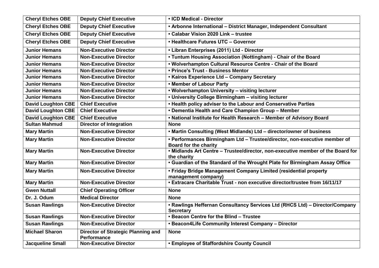| <b>Cheryl Etches OBE</b>  | <b>Deputy Chief Executive</b>                                   | • ICD Medical - Director                                                                                  |
|---------------------------|-----------------------------------------------------------------|-----------------------------------------------------------------------------------------------------------|
| <b>Cheryl Etches OBE</b>  | <b>Deputy Chief Executive</b>                                   | • Arbonne International - District Manager, Independent Consultant                                        |
| <b>Cheryl Etches OBE</b>  | <b>Deputy Chief Executive</b>                                   | • Calabar Vision 2020 Link - trustee                                                                      |
| <b>Cheryl Etches OBE</b>  | <b>Deputy Chief Executive</b>                                   | • Healthcare Futures UTC - Governor                                                                       |
| <b>Junior Hemans</b>      | <b>Non-Executive Director</b>                                   | • Libran Enterprises (2011) Ltd - Director                                                                |
| <b>Junior Hemans</b>      | <b>Non-Executive Director</b>                                   | • Tuntum Housing Association (Nottingham) - Chair of the Board                                            |
| <b>Junior Hemans</b>      | <b>Non-Executive Director</b>                                   | . Wolverhampton Cultural Resource Centre - Chair of the Board                                             |
| <b>Junior Hemans</b>      | <b>Non-Executive Director</b>                                   | • Prince's Trust - Business Mentor                                                                        |
| <b>Junior Hemans</b>      | <b>Non-Executive Director</b>                                   | • Kairos Experience Ltd - Company Secretary                                                               |
| <b>Junior Hemans</b>      | <b>Non-Executive Director</b>                                   | . Member of Labour Party                                                                                  |
| <b>Junior Hemans</b>      | <b>Non-Executive Director</b>                                   | . Wolverhampton University - visiting lecturer                                                            |
| <b>Junior Hemans</b>      | <b>Non-Executive Director</b>                                   | • University College Birmingham - visiting lecturer                                                       |
| <b>David Loughton CBE</b> | <b>Chief Executive</b>                                          | . Health policy adviser to the Labour and Conservative Parties                                            |
| <b>David Loughton CBE</b> | <b>Chief Executive</b>                                          | • Dementia Health and Care Champion Group - Member                                                        |
| <b>David Loughton CBE</b> | <b>Chief Executive</b>                                          | . National Institute for Health Research - Member of Advisory Board                                       |
| <b>Sultan Mahmud</b>      | <b>Director of Integration</b>                                  | <b>None</b>                                                                                               |
| <b>Mary Martin</b>        | <b>Non-Executive Director</b>                                   | • Martin Consulting (West Midlands) Ltd - director/owner of business                                      |
| <b>Mary Martin</b>        | <b>Non-Executive Director</b>                                   | • Performances Birmingham Ltd - Trustee/director, non-executive member of<br><b>Board for the charity</b> |
| <b>Mary Martin</b>        | <b>Non-Executive Director</b>                                   | • Midlands Art Centre - Trustee/director, non-executive member of the Board for<br>the charity            |
| <b>Mary Martin</b>        | <b>Non-Executive Director</b>                                   | . Guardian of the Standard of the Wrought Plate for Birmingham Assay Office                               |
| <b>Mary Martin</b>        | <b>Non-Executive Director</b>                                   | • Friday Bridge Management Company Limited (residential property<br>management company)                   |
| <b>Mary Martin</b>        | <b>Non-Executive Director</b>                                   | • Extracare Charitable Trust - non executive director/trustee from 16/11/17                               |
| <b>Gwen Nuttall</b>       | <b>Chief Operating Officer</b>                                  | <b>None</b>                                                                                               |
| Dr. J. Odum               | <b>Medical Director</b>                                         | <b>None</b>                                                                                               |
| <b>Susan Rawlings</b>     | <b>Non-Executive Director</b>                                   | • Rawlings Heffernan Consultancy Services Ltd (RHCS Ltd) - Director/Company<br><b>Secretary</b>           |
| <b>Susan Rawlings</b>     | <b>Non-Executive Director</b>                                   | . Beacon Centre for the Blind - Trustee                                                                   |
| <b>Susan Rawlings</b>     | <b>Non-Executive Director</b>                                   | • Beacon4Life Community Interest Company - Director                                                       |
| <b>Michael Sharon</b>     | <b>Director of Strategic Planning and</b><br><b>Performance</b> | <b>None</b>                                                                                               |
| <b>Jacqueline Small</b>   | <b>Non-Executive Director</b>                                   | <b>. Employee of Staffordshire County Council</b>                                                         |